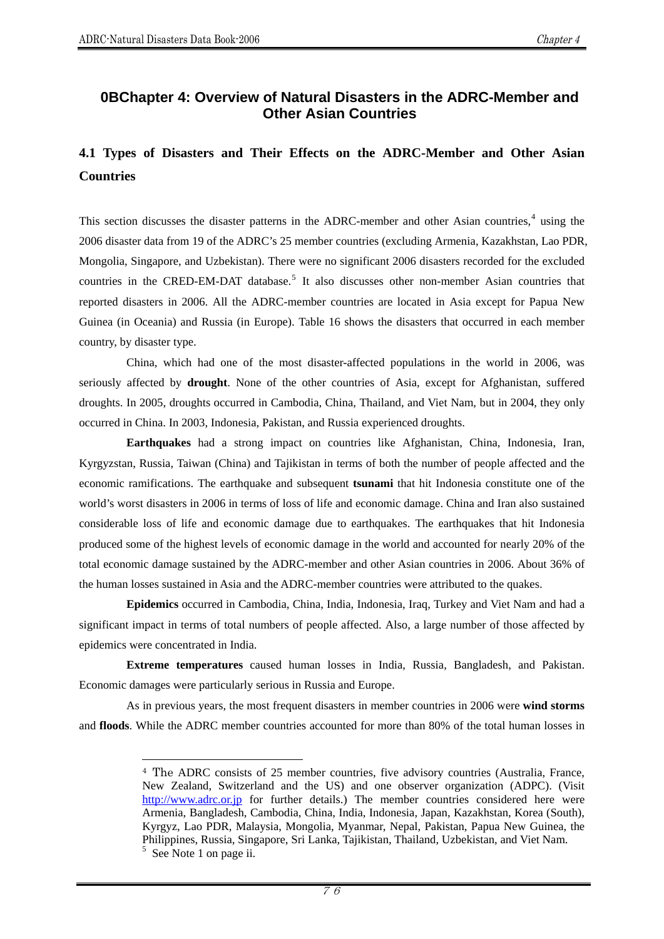$\overline{a}$ 

## **0 BChapter 4: Overview of Natural Disasters in the ADRC-Member and Other Asian Countries**

# **4.1 Types of Disasters and Their Effects on the ADRC-Member and Other Asian Countries**

This section discusses the disaster patterns in the ADRC-member and other Asian countries, $4$  using the 2006 disaster data from 19 of the ADRC's 25 member countries (excluding Armenia, Kazakhstan, Lao PDR, Mongolia, Singapore, and Uzbekistan). There were no significant 2006 disasters recorded for the excluded countries in the CRED-EM-DAT database.<sup>[5](#page-0-1)</sup> It also discusses other non-member Asian countries that reported disasters in 2006. All the ADRC-member countries are located in Asia except for Papua New Guinea (in Oceania) and Russia (in Europe). Table 16 shows the disasters that occurred in each member country, by disaster type.

China, which had one of the most disaster-affected populations in the world in 2006, was seriously affected by **drought**. None of the other countries of Asia, except for Afghanistan, suffered droughts. In 2005, droughts occurred in Cambodia, China, Thailand, and Viet Nam, but in 2004, they only occurred in China. In 2003, Indonesia, Pakistan, and Russia experienced droughts.

**Earthquakes** had a strong impact on countries like Afghanistan, China, Indonesia, Iran, Kyrgyzstan, Russia, Taiwan (China) and Tajikistan in terms of both the number of people affected and the economic ramifications. The earthquake and subsequent **tsunami** that hit Indonesia constitute one of the world's worst disasters in 2006 in terms of loss of life and economic damage. China and Iran also sustained considerable loss of life and economic damage due to earthquakes. The earthquakes that hit Indonesia produced some of the highest levels of economic damage in the world and accounted for nearly 20% of the total economic damage sustained by the ADRC-member and other Asian countries in 2006. About 36% of the human losses sustained in Asia and the ADRC-member countries were attributed to the quakes.

**Epidemics** occurred in Cambodia, China, India, Indonesia, Iraq, Turkey and Viet Nam and had a significant impact in terms of total numbers of people affected. Also, a large number of those affected by epidemics were concentrated in India.

**Extreme temperatures** caused human losses in India, Russia, Bangladesh, and Pakistan. Economic damages were particularly serious in Russia and Europe.

<span id="page-0-0"></span>As in previous years, the most frequent disasters in member countries in 2006 were **wind storms** and **floods**. While the ADRC member countries accounted for more than 80% of the total human losses in

<span id="page-0-1"></span><sup>4</sup> The ADRC consists of 25 member countries, five advisory countries (Australia, France, New Zealand, Switzerland and the US) and one observer organization (ADPC). (Visit [http://www.adrc.or.jp](http://www.adrc.or.jp/) for further details.) The member countries considered here were Armenia, Bangladesh, Cambodia, China, India, Indonesia, Japan, Kazakhstan, Korea (South), Kyrgyz, Lao PDR, Malaysia, Mongolia, Myanmar, Nepal, Pakistan, Papua New Guinea, the Philippines, Russia, Singapore, Sri Lanka, Tajikistan, Thailand, Uzbekistan, and Viet Nam.  $5$  See Note 1 on page ii.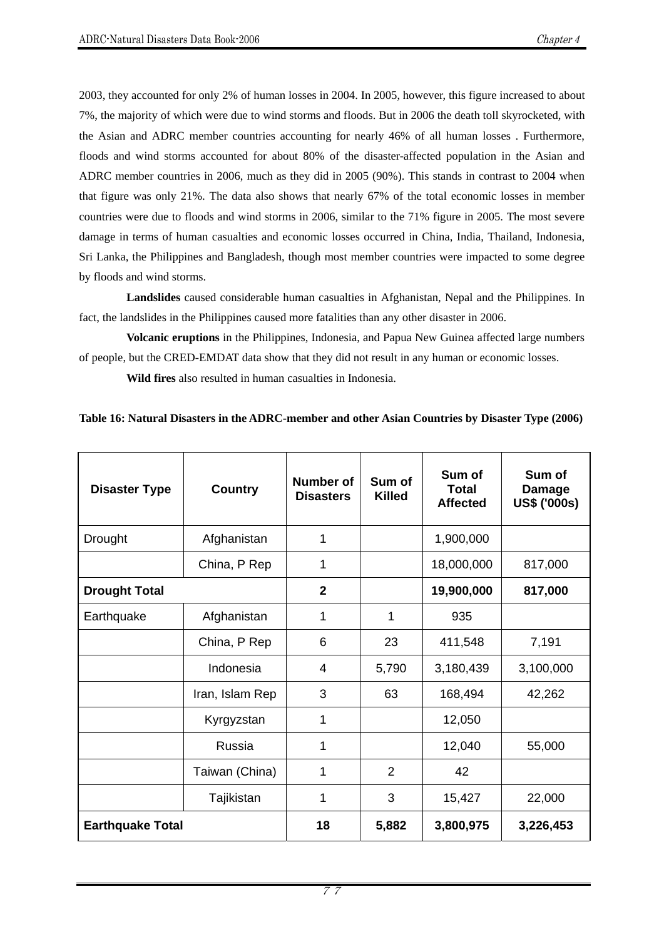2003, they accounted for only 2% of human losses in 2004. In 2005, however, this figure increased to about 7%, the majority of which were due to wind storms and floods. But in 2006 the death toll skyrocketed, with the Asian and ADRC member countries accounting for nearly 46% of all human losses . Furthermore, floods and wind storms accounted for about 80% of the disaster-affected population in the Asian and ADRC member countries in 2006, much as they did in 2005 (90%). This stands in contrast to 2004 when that figure was only 21%. The data also shows that nearly 67% of the total economic losses in member countries were due to floods and wind storms in 2006, similar to the 71% figure in 2005. The most severe damage in terms of human casualties and economic losses occurred in China, India, Thailand, Indonesia, Sri Lanka, the Philippines and Bangladesh, though most member countries were impacted to some degree by floods and wind storms.

**Landslides** caused considerable human casualties in Afghanistan, Nepal and the Philippines. In fact, the landslides in the Philippines caused more fatalities than any other disaster in 2006.

**Volcanic eruptions** in the Philippines, Indonesia, and Papua New Guinea affected large numbers of people, but the CRED-EMDAT data show that they did not result in any human or economic losses.

**Wild fires** also resulted in human casualties in Indonesia.

**Table 16: Natural Disasters in the ADRC-member and other Asian Countries by Disaster Type (2006)** 

| <b>Disaster Type</b>    | <b>Country</b>  | <b>Number of</b><br><b>Disasters</b> | Sum of<br><b>Killed</b> | Sum of<br><b>Total</b><br><b>Affected</b> | Sum of<br><b>Damage</b><br><b>US\$ ('000s)</b> |
|-------------------------|-----------------|--------------------------------------|-------------------------|-------------------------------------------|------------------------------------------------|
| Drought                 | Afghanistan     | 1                                    |                         | 1,900,000                                 |                                                |
|                         | China, P Rep    | $\mathbf{1}$                         |                         | 18,000,000                                | 817,000                                        |
| <b>Drought Total</b>    |                 | $\overline{2}$                       |                         | 19,900,000                                | 817,000                                        |
| Earthquake              | Afghanistan     | $\mathbf{1}$                         | 1                       | 935                                       |                                                |
|                         | China, P Rep    | 6                                    | 23                      | 411,548                                   | 7,191                                          |
|                         | Indonesia       | 4                                    | 5,790                   | 3,180,439                                 | 3,100,000                                      |
|                         | Iran, Islam Rep | 3                                    | 63                      | 168,494                                   | 42,262                                         |
|                         | Kyrgyzstan      | 1                                    |                         | 12,050                                    |                                                |
|                         | Russia          | 1                                    |                         | 12,040                                    | 55,000                                         |
|                         | Taiwan (China)  | 1                                    | 2                       | 42                                        |                                                |
|                         | Tajikistan      | 1                                    | 3                       | 15,427                                    | 22,000                                         |
| <b>Earthquake Total</b> |                 | 18                                   | 5,882                   | 3,800,975                                 | 3,226,453                                      |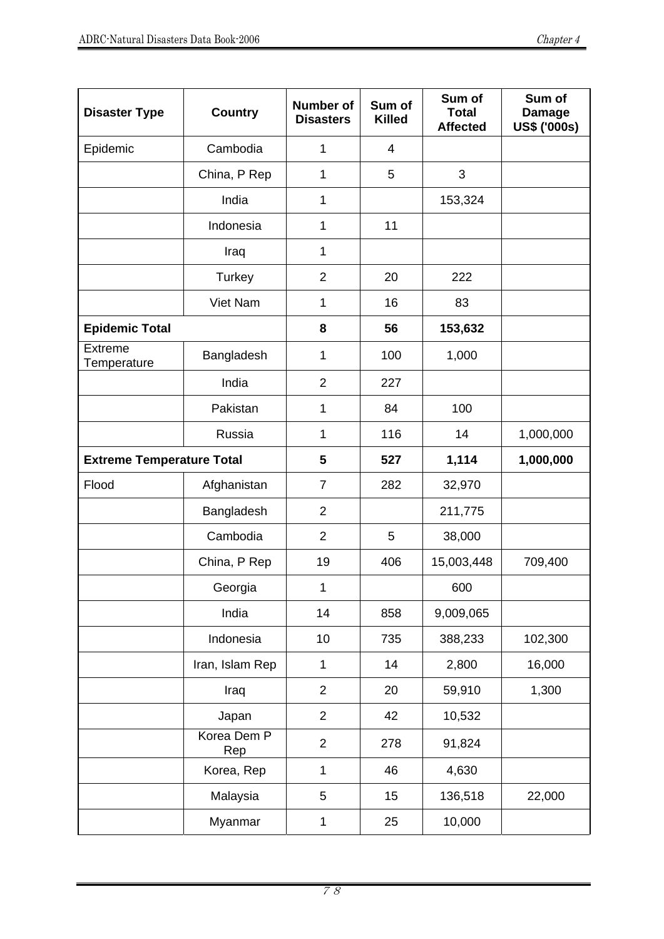| <b>Disaster Type</b>             | <b>Country</b>     | <b>Number of</b><br><b>Disasters</b> | Sum of<br><b>Killed</b> | Sum of<br><b>Total</b><br><b>Affected</b> | Sum of<br><b>Damage</b><br>US\$ ('000s) |
|----------------------------------|--------------------|--------------------------------------|-------------------------|-------------------------------------------|-----------------------------------------|
| Epidemic                         | Cambodia           | 1                                    | 4                       |                                           |                                         |
|                                  | China, P Rep       | 1                                    | 5                       | 3                                         |                                         |
|                                  | India              | $\mathbf{1}$                         |                         | 153,324                                   |                                         |
|                                  | Indonesia          | $\mathbf{1}$                         | 11                      |                                           |                                         |
|                                  | Iraq               | $\mathbf{1}$                         |                         |                                           |                                         |
|                                  | Turkey             | $\overline{2}$                       | 20                      | 222                                       |                                         |
|                                  | Viet Nam           | $\mathbf{1}$                         | 16                      | 83                                        |                                         |
| <b>Epidemic Total</b>            |                    | 8                                    | 56                      | 153,632                                   |                                         |
| <b>Extreme</b><br>Temperature    | Bangladesh         | $\mathbf{1}$                         | 100                     | 1,000                                     |                                         |
|                                  | India              | $\overline{2}$                       | 227                     |                                           |                                         |
|                                  | Pakistan           | 1                                    | 84                      | 100                                       |                                         |
|                                  | Russia             | $\mathbf{1}$                         | 116                     | 14                                        | 1,000,000                               |
| <b>Extreme Temperature Total</b> |                    | 5                                    | 527                     | 1,114                                     | 1,000,000                               |
| Flood                            | Afghanistan        | $\overline{7}$                       | 282                     | 32,970                                    |                                         |
|                                  | Bangladesh         | $\overline{2}$                       |                         | 211,775                                   |                                         |
|                                  | Cambodia           | $\overline{2}$                       | 5                       | 38,000                                    |                                         |
|                                  | China, P Rep       | 19                                   | 406                     | 15,003,448                                | 709,400                                 |
|                                  | Georgia            | $\mathbf{1}$                         |                         | 600                                       |                                         |
|                                  | India              | 14                                   | 858                     | 9,009,065                                 |                                         |
|                                  | Indonesia          | 10                                   | 735                     | 388,233                                   | 102,300                                 |
|                                  | Iran, Islam Rep    | $\mathbf{1}$                         | 14                      | 2,800                                     | 16,000                                  |
|                                  | Iraq               | $\overline{2}$                       | 20                      | 59,910                                    | 1,300                                   |
|                                  | Japan              | $\overline{2}$                       | 42                      | 10,532                                    |                                         |
|                                  | Korea Dem P<br>Rep | $\overline{2}$                       | 278                     | 91,824                                    |                                         |
|                                  | Korea, Rep         | $\mathbf 1$                          | 46                      | 4,630                                     |                                         |
|                                  | Malaysia           | 5                                    | 15                      | 136,518                                   | 22,000                                  |
|                                  | Myanmar            | $\mathbf{1}$                         | 25                      | 10,000                                    |                                         |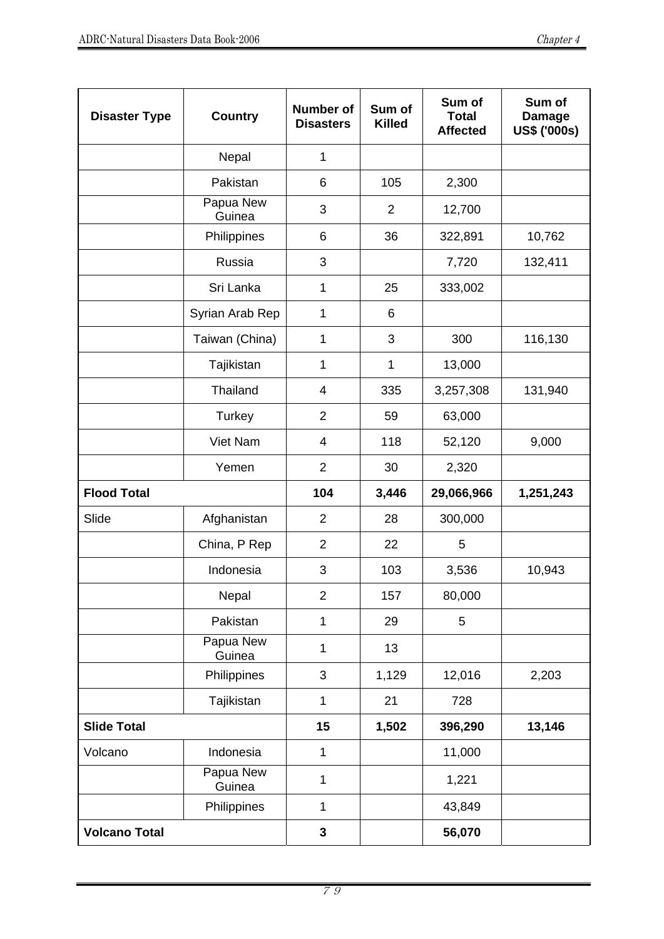| <b>Disaster Type</b> | <b>Country</b>      | <b>Number of</b><br><b>Disasters</b> | Sum of<br><b>Killed</b> | Sum of<br><b>Total</b><br><b>Affected</b> | Sum of<br><b>Damage</b><br>US\$ ('000s) |
|----------------------|---------------------|--------------------------------------|-------------------------|-------------------------------------------|-----------------------------------------|
|                      | Nepal               | $\mathbf{1}$                         |                         |                                           |                                         |
|                      | Pakistan            | 6                                    | 105                     | 2,300                                     |                                         |
|                      | Papua New<br>Guinea | 3                                    | $\overline{2}$          | 12,700                                    |                                         |
|                      | Philippines         | 6                                    | 36                      | 322,891                                   | 10,762                                  |
|                      | Russia              | 3                                    |                         | 7,720                                     | 132,411                                 |
|                      | Sri Lanka           | 1                                    | 25                      | 333,002                                   |                                         |
|                      | Syrian Arab Rep     | 1                                    | 6                       |                                           |                                         |
|                      | Taiwan (China)      | 1                                    | 3                       | 300                                       | 116,130                                 |
|                      | Tajikistan          | 1                                    | 1                       | 13,000                                    |                                         |
|                      | Thailand            | 4                                    | 335                     | 3,257,308                                 | 131,940                                 |
|                      | Turkey              | $\overline{2}$                       | 59                      | 63,000                                    |                                         |
|                      | Viet Nam            | 4                                    | 118                     | 52,120                                    | 9,000                                   |
|                      | Yemen               | $\overline{2}$                       | 30                      | 2,320                                     |                                         |
| <b>Flood Total</b>   |                     | 104                                  | 3,446                   | 29,066,966                                | 1,251,243                               |
| Slide                | Afghanistan         | $\overline{2}$                       | 28                      | 300,000                                   |                                         |
|                      | China, P Rep        | $\overline{2}$                       | 22                      | 5                                         |                                         |
|                      | Indonesia           | 3                                    | 103                     | 3,536                                     | 10,943                                  |
|                      | Nepal               | $\overline{2}$                       | 157                     | 80,000                                    |                                         |
|                      | Pakistan            | $\mathbf{1}$                         | 29                      | 5                                         |                                         |
|                      | Papua New<br>Guinea | 1                                    | 13                      |                                           |                                         |
|                      | Philippines         | 3                                    | 1,129                   | 12,016                                    | 2,203                                   |
|                      | Tajikistan          | $\mathbf{1}$                         | 21                      | 728                                       |                                         |
| <b>Slide Total</b>   |                     | 15                                   | 1,502                   | 396,290                                   | 13,146                                  |
| Volcano              | Indonesia           | $\mathbf{1}$                         |                         | 11,000                                    |                                         |
|                      | Papua New<br>Guinea | 1                                    |                         | 1,221                                     |                                         |
|                      | Philippines         | $\mathbf{1}$                         |                         | 43,849                                    |                                         |
| <b>Volcano Total</b> |                     | 3                                    |                         | 56,070                                    |                                         |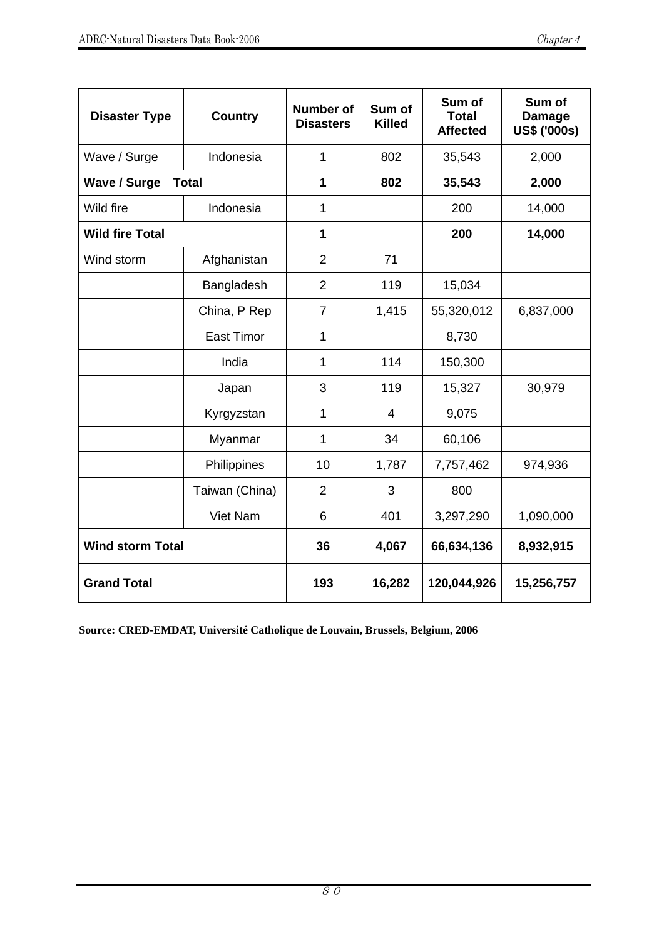| <b>Disaster Type</b>                | <b>Country</b>    | <b>Number of</b><br><b>Disasters</b> | Sum of<br><b>Killed</b> | Sum of<br><b>Total</b><br><b>Affected</b> | Sum of<br><b>Damage</b><br><b>US\$ ('000s)</b> |
|-------------------------------------|-------------------|--------------------------------------|-------------------------|-------------------------------------------|------------------------------------------------|
| Wave / Surge                        | Indonesia         | $\mathbf{1}$                         | 802                     | 35,543                                    | 2,000                                          |
| <b>Wave / Surge</b><br><b>Total</b> |                   | 1                                    | 802                     | 35,543                                    | 2,000                                          |
| Wild fire                           | Indonesia         | $\mathbf{1}$                         |                         | 200                                       | 14,000                                         |
| <b>Wild fire Total</b>              |                   | 1                                    |                         | 200                                       | 14,000                                         |
| Wind storm                          | Afghanistan       | $\overline{2}$                       | 71                      |                                           |                                                |
|                                     | Bangladesh        | $\overline{2}$                       | 119                     | 15,034                                    |                                                |
|                                     | China, P Rep      | $\overline{7}$                       | 1,415                   | 55,320,012                                | 6,837,000                                      |
|                                     | <b>East Timor</b> | $\mathbf{1}$                         |                         | 8,730                                     |                                                |
|                                     | India             | 1                                    | 114                     | 150,300                                   |                                                |
|                                     | Japan             | 3                                    | 119                     | 15,327                                    | 30,979                                         |
|                                     | Kyrgyzstan        | $\mathbf{1}$                         | 4                       | 9,075                                     |                                                |
|                                     | Myanmar           | $\mathbf 1$                          | 34                      | 60,106                                    |                                                |
|                                     | Philippines       | 10                                   | 1,787                   | 7,757,462                                 | 974,936                                        |
|                                     | Taiwan (China)    | $\overline{2}$                       | 3                       | 800                                       |                                                |
|                                     | Viet Nam          | 6                                    | 401                     | 3,297,290                                 | 1,090,000                                      |
| <b>Wind storm Total</b>             |                   | 36                                   | 4,067                   | 66,634,136                                | 8,932,915                                      |
| <b>Grand Total</b>                  |                   | 193                                  | 16,282                  | 120,044,926                               | 15,256,757                                     |

**Source: CRED-EMDAT, Université Catholique de Louvain, Brussels, Belgium, 2006**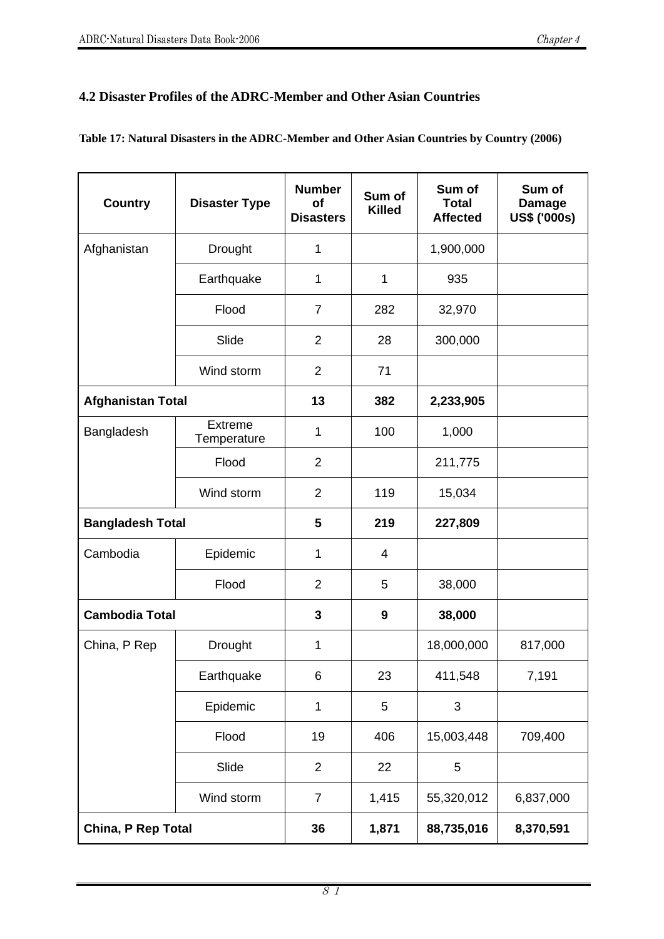## **4.2 Disaster Profiles of the ADRC-Member and Other Asian Countries**

| <b>Country</b>           | <b>Disaster Type</b>          | <b>Number</b><br><b>of</b><br><b>Disasters</b> | Sum of<br><b>Killed</b> | Sum of<br><b>Total</b><br><b>Affected</b> | Sum of<br><b>Damage</b><br><b>US\$ ('000s)</b> |
|--------------------------|-------------------------------|------------------------------------------------|-------------------------|-------------------------------------------|------------------------------------------------|
| Afghanistan              | Drought                       | 1                                              |                         | 1,900,000                                 |                                                |
|                          | Earthquake                    | 1                                              | 1                       | 935                                       |                                                |
|                          | Flood                         | $\overline{7}$                                 | 282                     | 32,970                                    |                                                |
|                          | Slide                         | $\overline{2}$                                 | 28                      | 300,000                                   |                                                |
|                          | Wind storm                    | $\overline{2}$                                 | 71                      |                                           |                                                |
| <b>Afghanistan Total</b> |                               | 13                                             | 382                     | 2,233,905                                 |                                                |
| Bangladesh               | <b>Extreme</b><br>Temperature | 1                                              | 100                     | 1,000                                     |                                                |
|                          | Flood                         | $\overline{2}$                                 |                         | 211,775                                   |                                                |
|                          | Wind storm                    | $\overline{2}$                                 | 119                     | 15,034                                    |                                                |
| <b>Bangladesh Total</b>  |                               | 5                                              | 219                     | 227,809                                   |                                                |
| Cambodia                 | Epidemic                      | 1                                              | 4                       |                                           |                                                |
|                          | Flood                         | $\overline{2}$                                 | 5                       | 38,000                                    |                                                |
| <b>Cambodia Total</b>    |                               | $\mathbf{3}$                                   | 9                       | 38,000                                    |                                                |
| China, P Rep             | Drought                       | 1                                              |                         | 18,000,000                                | 817,000                                        |
|                          | Earthquake                    | 6                                              | 23                      | 411,548                                   | 7,191                                          |
|                          | Epidemic                      | 1                                              | 5                       | 3                                         |                                                |
|                          | Flood                         | 19                                             | 406                     | 15,003,448                                | 709,400                                        |
|                          | Slide                         | $\overline{2}$                                 | 22                      | 5                                         |                                                |
|                          | Wind storm                    | $\overline{7}$                                 | 1,415                   | 55,320,012                                | 6,837,000                                      |
| China, P Rep Total       |                               | 36                                             | 1,871                   | 88,735,016                                | 8,370,591                                      |

### **Table 17: Natural Disasters in the ADRC-Member and Other Asian Countries by Country (2006)**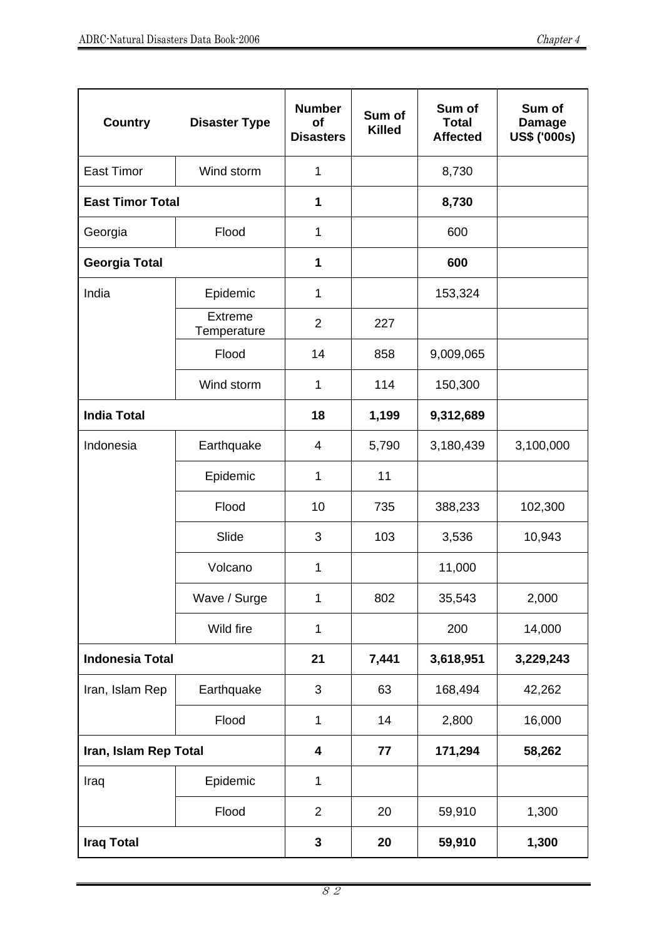| <b>Country</b>          | <b>Disaster Type</b>   | <b>Number</b><br>Οf<br><b>Disasters</b> | Sum of<br><b>Killed</b> | Sum of<br><b>Total</b><br><b>Affected</b> | Sum of<br><b>Damage</b><br><b>US\$ ('000s)</b> |
|-------------------------|------------------------|-----------------------------------------|-------------------------|-------------------------------------------|------------------------------------------------|
| <b>East Timor</b>       | Wind storm             | 1                                       |                         | 8,730                                     |                                                |
| <b>East Timor Total</b> |                        | 1                                       |                         | 8,730                                     |                                                |
| Georgia                 | Flood                  | 1                                       |                         | 600                                       |                                                |
| <b>Georgia Total</b>    |                        | 1                                       |                         | 600                                       |                                                |
| India                   | Epidemic               | 1                                       |                         | 153,324                                   |                                                |
|                         | Extreme<br>Temperature | $\overline{2}$                          | 227                     |                                           |                                                |
|                         | Flood                  | 14                                      | 858                     | 9,009,065                                 |                                                |
|                         | Wind storm             | 1                                       | 114                     | 150,300                                   |                                                |
| <b>India Total</b>      |                        | 18                                      | 1,199                   | 9,312,689                                 |                                                |
| Indonesia               | Earthquake             | 4                                       | 5,790                   | 3,180,439                                 | 3,100,000                                      |
|                         | Epidemic               | 1                                       | 11                      |                                           |                                                |
|                         | Flood                  | 10                                      | 735                     | 388,233                                   | 102,300                                        |
|                         | Slide                  | 3                                       | 103                     | 3,536                                     | 10,943                                         |
|                         | Volcano                | 1                                       |                         | 11,000                                    |                                                |
|                         | Wave / Surge           | 1                                       | 802                     | 35,543                                    | 2,000                                          |
|                         | Wild fire              | 1                                       |                         | 200                                       | 14,000                                         |
| <b>Indonesia Total</b>  |                        | 21                                      | 7,441                   | 3,618,951                                 | 3,229,243                                      |
| Iran, Islam Rep         | Earthquake             | 3                                       | 63                      | 168,494                                   | 42,262                                         |
|                         | Flood                  | $\mathbf{1}$                            | 14                      | 2,800                                     | 16,000                                         |
| Iran, Islam Rep Total   |                        | $\overline{\mathbf{4}}$                 | 77                      | 171,294                                   | 58,262                                         |
| Iraq                    | Epidemic               | 1                                       |                         |                                           |                                                |
|                         | Flood                  | $\overline{2}$                          | 20                      | 59,910                                    | 1,300                                          |
| <b>Iraq Total</b>       |                        | $\mathbf 3$                             | 20                      | 59,910                                    | 1,300                                          |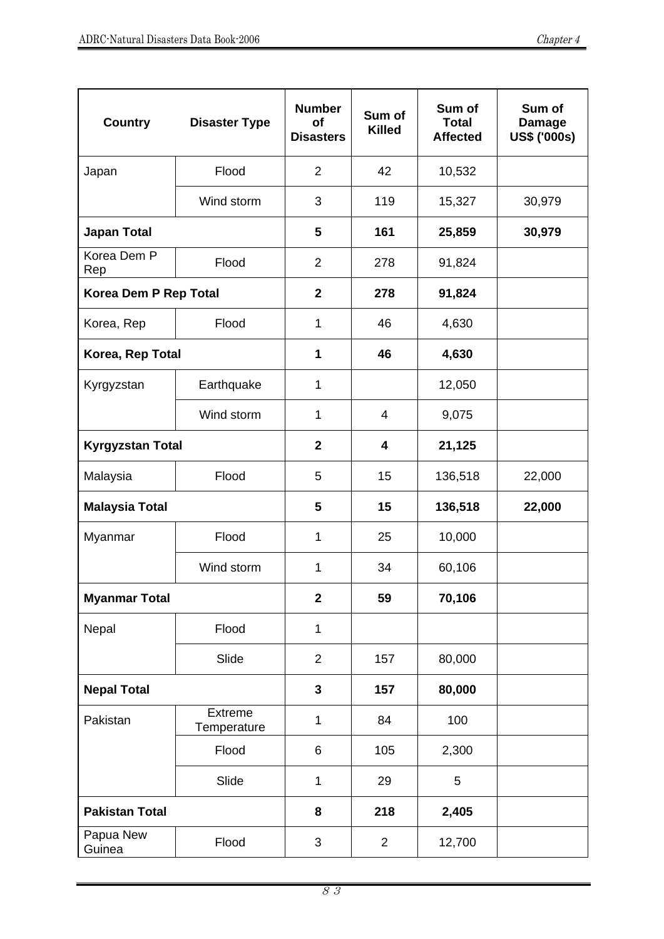| <b>Country</b>          | <b>Disaster Type</b>          | <b>Number</b><br>Οf<br><b>Disasters</b> | Sum of<br><b>Killed</b> | Sum of<br><b>Total</b><br><b>Affected</b> | Sum of<br><b>Damage</b><br><b>US\$ ('000s)</b> |
|-------------------------|-------------------------------|-----------------------------------------|-------------------------|-------------------------------------------|------------------------------------------------|
| Japan                   | Flood                         | $\overline{2}$                          | 42                      | 10,532                                    |                                                |
|                         | Wind storm                    | 3                                       | 119                     | 15,327                                    | 30,979                                         |
| <b>Japan Total</b>      |                               | 5                                       | 161                     | 25,859                                    | 30,979                                         |
| Korea Dem P<br>Rep      | Flood                         | $\overline{2}$                          | 278                     | 91,824                                    |                                                |
| Korea Dem P Rep Total   |                               | $\mathbf{2}$                            | 278                     | 91,824                                    |                                                |
| Korea, Rep              | Flood                         | 1                                       | 46                      | 4,630                                     |                                                |
| Korea, Rep Total        |                               | 1                                       | 46                      | 4,630                                     |                                                |
| Kyrgyzstan              | Earthquake                    | 1                                       |                         | 12,050                                    |                                                |
|                         | Wind storm                    | 1                                       | 4                       | 9,075                                     |                                                |
| <b>Kyrgyzstan Total</b> |                               | $\mathbf{2}$                            | 4                       | 21,125                                    |                                                |
| Malaysia                | Flood                         | 5                                       | 15                      | 136,518                                   | 22,000                                         |
| <b>Malaysia Total</b>   |                               | 5                                       | 15                      | 136,518                                   | 22,000                                         |
| Myanmar                 | Flood                         | 1                                       | 25                      | 10,000                                    |                                                |
|                         | Wind storm                    | 1                                       | 34                      | 60,106                                    |                                                |
| <b>Myanmar Total</b>    |                               | $\mathbf{2}$                            | 59                      | 70,106                                    |                                                |
| Nepal                   | Flood                         | $\mathbf{1}$                            |                         |                                           |                                                |
|                         | Slide                         | $\overline{2}$                          | 157                     | 80,000                                    |                                                |
| <b>Nepal Total</b>      |                               | $\mathbf{3}$                            | 157                     | 80,000                                    |                                                |
| Pakistan                | <b>Extreme</b><br>Temperature | 1                                       | 84                      | 100                                       |                                                |
|                         | Flood                         | 6                                       | 105                     | 2,300                                     |                                                |
|                         | Slide                         | 1                                       | 29                      | 5                                         |                                                |
| <b>Pakistan Total</b>   |                               | 8                                       | 218                     | 2,405                                     |                                                |
| Papua New<br>Guinea     | Flood                         | 3                                       | $\overline{2}$          | 12,700                                    |                                                |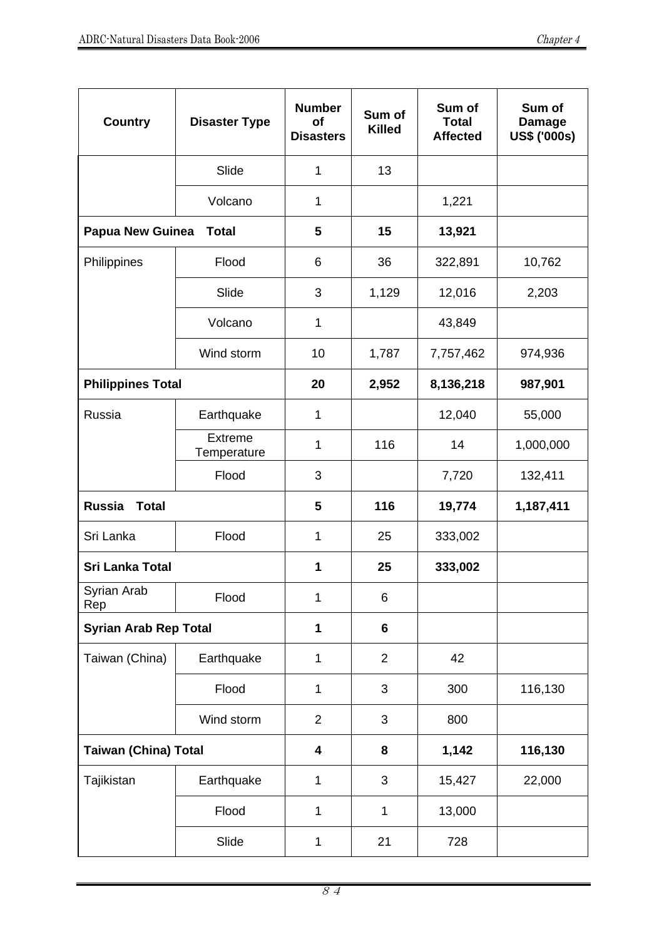| <b>Country</b>                | <b>Disaster Type</b>          | <b>Number</b><br>Οf<br><b>Disasters</b> | Sum of<br><b>Killed</b> | Sum of<br><b>Total</b><br><b>Affected</b> | Sum of<br><b>Damage</b><br><b>US\$ ('000s)</b> |
|-------------------------------|-------------------------------|-----------------------------------------|-------------------------|-------------------------------------------|------------------------------------------------|
|                               | Slide                         | 1                                       | 13                      |                                           |                                                |
|                               | Volcano                       | 1                                       |                         | 1,221                                     |                                                |
| <b>Papua New Guinea</b>       | <b>Total</b>                  | 5                                       | 15                      | 13,921                                    |                                                |
| Philippines                   | Flood                         | 6                                       | 36                      | 322,891                                   | 10,762                                         |
|                               | Slide                         | 3                                       | 1,129                   | 12,016                                    | 2,203                                          |
|                               | Volcano                       | 1                                       |                         | 43,849                                    |                                                |
|                               | Wind storm                    | 10                                      | 1,787                   | 7,757,462                                 | 974,936                                        |
| <b>Philippines Total</b>      |                               | 20                                      | 2,952                   | 8,136,218                                 | 987,901                                        |
| Russia                        | Earthquake                    | 1                                       |                         | 12,040                                    | 55,000                                         |
|                               | <b>Extreme</b><br>Temperature | 1                                       | 116                     | 14                                        | 1,000,000                                      |
|                               | Flood                         | 3                                       |                         | 7,720                                     | 132,411                                        |
| <b>Russia</b><br><b>Total</b> |                               | 5                                       | 116                     | 19,774                                    | 1,187,411                                      |
| Sri Lanka                     | Flood                         | 1                                       | 25                      | 333,002                                   |                                                |
| <b>Sri Lanka Total</b>        |                               | 1                                       | 25                      | 333,002                                   |                                                |
| Syrian Arab<br>Rep            | Flood                         | 1                                       | 6                       |                                           |                                                |
| <b>Syrian Arab Rep Total</b>  |                               | 1                                       | 6                       |                                           |                                                |
| Taiwan (China)                | Earthquake                    | 1                                       | $\overline{2}$          | 42                                        |                                                |
|                               | Flood                         | 1                                       | 3                       | 300                                       | 116,130                                        |
|                               | Wind storm                    | $\overline{2}$                          | 3                       | 800                                       |                                                |
| <b>Taiwan (China) Total</b>   |                               | $\overline{\mathbf{4}}$                 | 8                       | 1,142                                     | 116,130                                        |
| Tajikistan                    | Earthquake                    | $\mathbf{1}$                            | 3                       | 15,427                                    | 22,000                                         |
|                               | Flood                         | $\mathbf{1}$                            | $\mathbf{1}$            | 13,000                                    |                                                |
|                               | Slide                         | 1                                       | 21                      | 728                                       |                                                |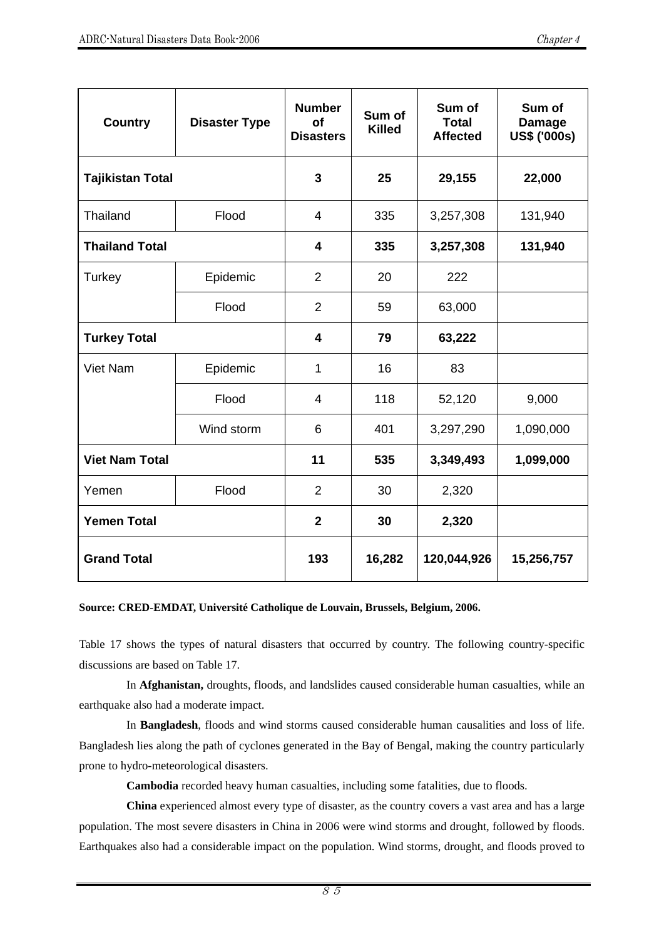| <b>Country</b>          | <b>Disaster Type</b> | <b>Number</b><br>of<br><b>Disasters</b> | Sum of<br><b>Killed</b> | Sum of<br><b>Total</b><br><b>Affected</b> | Sum of<br><b>Damage</b><br><b>US\$ ('000s)</b> |
|-------------------------|----------------------|-----------------------------------------|-------------------------|-------------------------------------------|------------------------------------------------|
| <b>Tajikistan Total</b> |                      | 3                                       | 25                      | 29,155                                    | 22,000                                         |
| Thailand                | Flood                | $\overline{4}$                          | 335                     | 3,257,308                                 | 131,940                                        |
| <b>Thailand Total</b>   |                      | $\overline{\mathbf{4}}$                 | 335                     | 3,257,308                                 | 131,940                                        |
| Turkey                  | Epidemic             | $\overline{2}$                          | 20                      | 222                                       |                                                |
|                         | Flood                | $\overline{2}$                          | 59                      | 63,000                                    |                                                |
| <b>Turkey Total</b>     |                      | $\overline{\mathbf{4}}$                 | 79                      | 63,222                                    |                                                |
| Viet Nam                | Epidemic             | 1                                       | 16                      | 83                                        |                                                |
|                         | Flood                | $\overline{4}$                          | 118                     | 52,120                                    | 9,000                                          |
|                         | Wind storm           | 6                                       | 401                     | 3,297,290                                 | 1,090,000                                      |
| <b>Viet Nam Total</b>   |                      | 11                                      | 535                     | 3,349,493                                 | 1,099,000                                      |
| Yemen                   | Flood                | $\overline{2}$                          | 30                      | 2,320                                     |                                                |
| <b>Yemen Total</b>      |                      | $\mathbf{2}$                            | 30                      | 2,320                                     |                                                |
| <b>Grand Total</b>      |                      | 193                                     | 16,282                  | 120,044,926                               | 15,256,757                                     |

#### **Source: CRED-EMDAT, Université Catholique de Louvain, Brussels, Belgium, 2006.**

Table 17 shows the types of natural disasters that occurred by country. The following country-specific discussions are based on Table 17.

In **Afghanistan,** droughts, floods, and landslides caused considerable human casualties, while an earthquake also had a moderate impact.

In **Bangladesh**, floods and wind storms caused considerable human causalities and loss of life. Bangladesh lies along the path of cyclones generated in the Bay of Bengal, making the country particularly prone to hydro-meteorological disasters.

**Cambodia** recorded heavy human casualties, including some fatalities, due to floods.

**China** experienced almost every type of disaster, as the country covers a vast area and has a large population. The most severe disasters in China in 2006 were wind storms and drought, followed by floods. Earthquakes also had a considerable impact on the population. Wind storms, drought, and floods proved to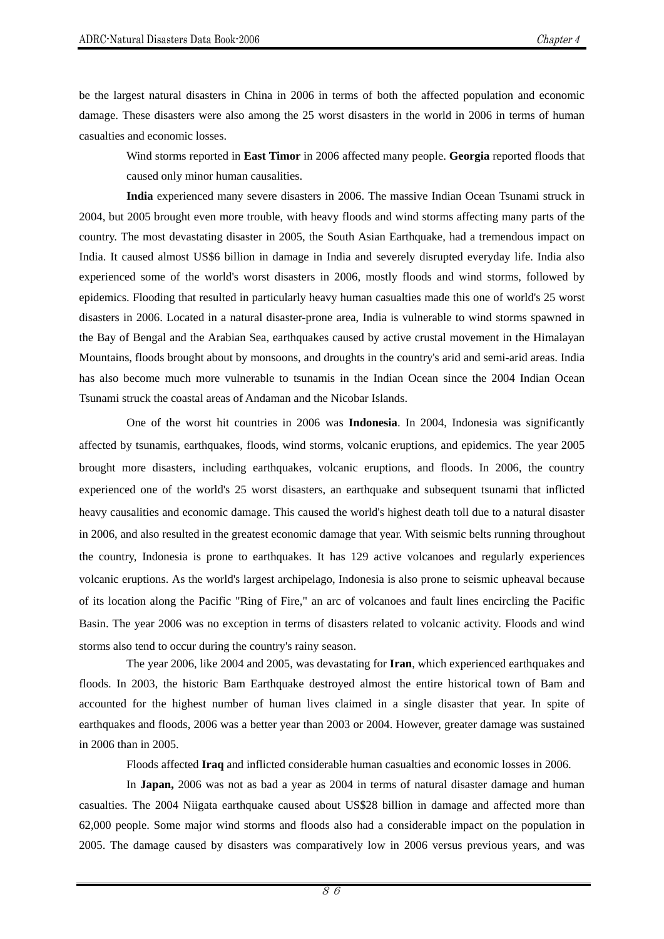be the largest natural disasters in China in 2006 in terms of both the affected population and economic damage. These disasters were also among the 25 worst disasters in the world in 2006 in terms of human casualties and economic losses.

Wind storms reported in **East Timor** in 2006 affected many people. **Georgia** reported floods that caused only minor human causalities.

**India** experienced many severe disasters in 2006. The massive Indian Ocean Tsunami struck in 2004, but 2005 brought even more trouble, with heavy floods and wind storms affecting many parts of the country. The most devastating disaster in 2005, the South Asian Earthquake, had a tremendous impact on India. It caused almost US\$6 billion in damage in India and severely disrupted everyday life. India also experienced some of the world's worst disasters in 2006, mostly floods and wind storms, followed by epidemics. Flooding that resulted in particularly heavy human casualties made this one of world's 25 worst disasters in 2006. Located in a natural disaster-prone area, India is vulnerable to wind storms spawned in the Bay of Bengal and the Arabian Sea, earthquakes caused by active crustal movement in the Himalayan Mountains, floods brought about by monsoons, and droughts in the country's arid and semi-arid areas. India has also become much more vulnerable to tsunamis in the Indian Ocean since the 2004 Indian Ocean Tsunami struck the coastal areas of Andaman and the Nicobar Islands.

One of the worst hit countries in 2006 was **Indonesia**. In 2004, Indonesia was significantly affected by tsunamis, earthquakes, floods, wind storms, volcanic eruptions, and epidemics. The year 2005 brought more disasters, including earthquakes, volcanic eruptions, and floods. In 2006, the country experienced one of the world's 25 worst disasters, an earthquake and subsequent tsunami that inflicted heavy causalities and economic damage. This caused the world's highest death toll due to a natural disaster in 2006, and also resulted in the greatest economic damage that year. With seismic belts running throughout the country, Indonesia is prone to earthquakes. It has 129 active volcanoes and regularly experiences volcanic eruptions. As the world's largest archipelago, Indonesia is also prone to seismic upheaval because of its location along the Pacific "Ring of Fire," an arc of volcanoes and fault lines encircling the Pacific Basin. The year 2006 was no exception in terms of disasters related to volcanic activity. Floods and wind storms also tend to occur during the country's rainy season.

The year 2006, like 2004 and 2005, was devastating for **Iran**, which experienced earthquakes and floods. In 2003, the historic Bam Earthquake destroyed almost the entire historical town of Bam and accounted for the highest number of human lives claimed in a single disaster that year. In spite of earthquakes and floods, 2006 was a better year than 2003 or 2004. However, greater damage was sustained in 2006 than in 2005.

Floods affected **Iraq** and inflicted considerable human casualties and economic losses in 2006.

In **Japan,** 2006 was not as bad a year as 2004 in terms of natural disaster damage and human casualties. The 2004 Niigata earthquake caused about US\$28 billion in damage and affected more than 62,000 people. Some major wind storms and floods also had a considerable impact on the population in 2005. The damage caused by disasters was comparatively low in 2006 versus previous years, and was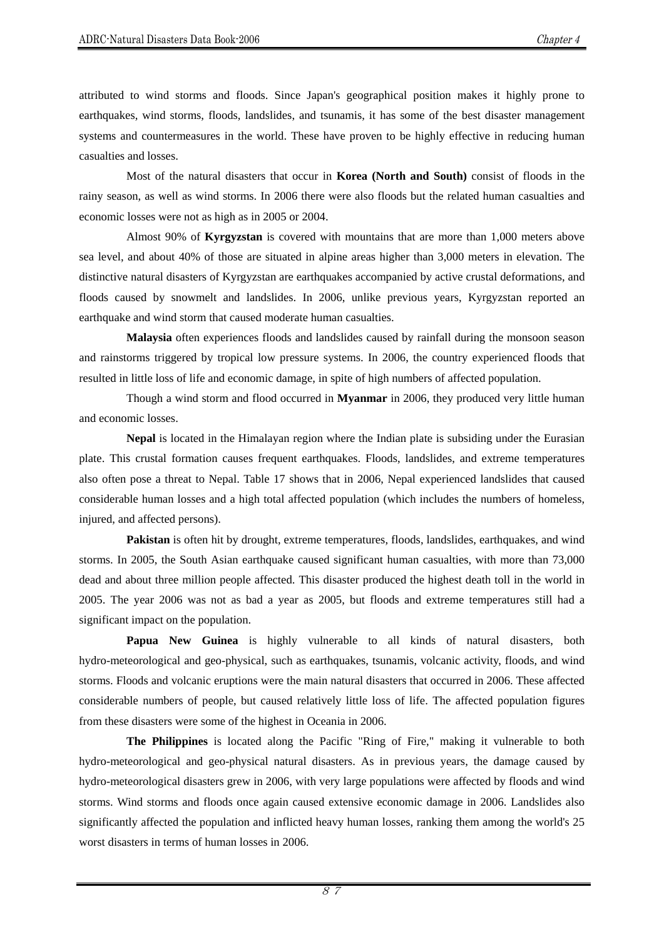attributed to wind storms and floods. Since Japan's geographical position makes it highly prone to earthquakes, wind storms, floods, landslides, and tsunamis, it has some of the best disaster management systems and countermeasures in the world. These have proven to be highly effective in reducing human casualties and losses.

Most of the natural disasters that occur in **Korea (North and South)** consist of floods in the rainy season, as well as wind storms. In 2006 there were also floods but the related human casualties and economic losses were not as high as in 2005 or 2004.

Almost 90% of **Kyrgyzstan** is covered with mountains that are more than 1,000 meters above sea level, and about 40% of those are situated in alpine areas higher than 3,000 meters in elevation. The distinctive natural disasters of Kyrgyzstan are earthquakes accompanied by active crustal deformations, and floods caused by snowmelt and landslides. In 2006, unlike previous years, Kyrgyzstan reported an earthquake and wind storm that caused moderate human casualties.

**Malaysia** often experiences floods and landslides caused by rainfall during the monsoon season and rainstorms triggered by tropical low pressure systems. In 2006, the country experienced floods that resulted in little loss of life and economic damage, in spite of high numbers of affected population.

Though a wind storm and flood occurred in **Myanmar** in 2006, they produced very little human and economic losses.

**Nepal** is located in the Himalayan region where the Indian plate is subsiding under the Eurasian plate. This crustal formation causes frequent earthquakes. Floods, landslides, and extreme temperatures also often pose a threat to Nepal. Table 17 shows that in 2006, Nepal experienced landslides that caused considerable human losses and a high total affected population (which includes the numbers of homeless, injured, and affected persons).

**Pakistan** is often hit by drought, extreme temperatures, floods, landslides, earthquakes, and wind storms. In 2005, the South Asian earthquake caused significant human casualties, with more than 73,000 dead and about three million people affected. This disaster produced the highest death toll in the world in 2005. The year 2006 was not as bad a year as 2005, but floods and extreme temperatures still had a significant impact on the population.

**Papua New Guinea** is highly vulnerable to all kinds of natural disasters, both hydro-meteorological and geo-physical, such as earthquakes, tsunamis, volcanic activity, floods, and wind storms. Floods and volcanic eruptions were the main natural disasters that occurred in 2006. These affected considerable numbers of people, but caused relatively little loss of life. The affected population figures from these disasters were some of the highest in Oceania in 2006.

**The Philippines** is located along the Pacific "Ring of Fire," making it vulnerable to both hydro-meteorological and geo-physical natural disasters. As in previous years, the damage caused by hydro-meteorological disasters grew in 2006, with very large populations were affected by floods and wind storms. Wind storms and floods once again caused extensive economic damage in 2006. Landslides also significantly affected the population and inflicted heavy human losses, ranking them among the world's 25 worst disasters in terms of human losses in 2006.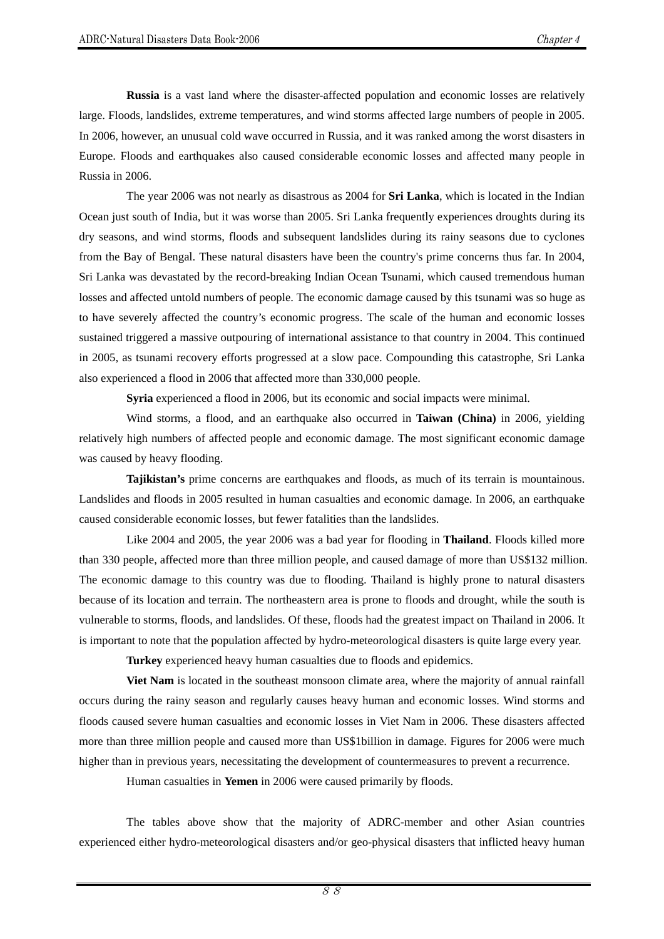**Russia** is a vast land where the disaster-affected population and economic losses are relatively large. Floods, landslides, extreme temperatures, and wind storms affected large numbers of people in 2005. In 2006, however, an unusual cold wave occurred in Russia, and it was ranked among the worst disasters in Europe. Floods and earthquakes also caused considerable economic losses and affected many people in Russia in 2006.

The year 2006 was not nearly as disastrous as 2004 for **Sri Lanka**, which is located in the Indian Ocean just south of India, but it was worse than 2005. Sri Lanka frequently experiences droughts during its dry seasons, and wind storms, floods and subsequent landslides during its rainy seasons due to cyclones from the Bay of Bengal. These natural disasters have been the country's prime concerns thus far. In 2004, Sri Lanka was devastated by the record-breaking Indian Ocean Tsunami, which caused tremendous human losses and affected untold numbers of people. The economic damage caused by this tsunami was so huge as to have severely affected the country's economic progress. The scale of the human and economic losses sustained triggered a massive outpouring of international assistance to that country in 2004. This continued in 2005, as tsunami recovery efforts progressed at a slow pace. Compounding this catastrophe, Sri Lanka also experienced a flood in 2006 that affected more than 330,000 people.

**Syria** experienced a flood in 2006, but its economic and social impacts were minimal.

Wind storms, a flood, and an earthquake also occurred in **Taiwan (China)** in 2006, yielding relatively high numbers of affected people and economic damage. The most significant economic damage was caused by heavy flooding.

**Tajikistan's** prime concerns are earthquakes and floods, as much of its terrain is mountainous. Landslides and floods in 2005 resulted in human casualties and economic damage. In 2006, an earthquake caused considerable economic losses, but fewer fatalities than the landslides.

Like 2004 and 2005, the year 2006 was a bad year for flooding in **Thailand**. Floods killed more than 330 people, affected more than three million people, and caused damage of more than US\$132 million. The economic damage to this country was due to flooding. Thailand is highly prone to natural disasters because of its location and terrain. The northeastern area is prone to floods and drought, while the south is vulnerable to storms, floods, and landslides. Of these, floods had the greatest impact on Thailand in 2006. It is important to note that the population affected by hydro-meteorological disasters is quite large every year.

**Turkey** experienced heavy human casualties due to floods and epidemics.

**Viet Nam** is located in the southeast monsoon climate area, where the majority of annual rainfall occurs during the rainy season and regularly causes heavy human and economic losses. Wind storms and floods caused severe human casualties and economic losses in Viet Nam in 2006. These disasters affected more than three million people and caused more than US\$1billion in damage. Figures for 2006 were much higher than in previous years, necessitating the development of countermeasures to prevent a recurrence.

Human casualties in **Yemen** in 2006 were caused primarily by floods.

The tables above show that the majority of ADRC-member and other Asian countries experienced either hydro-meteorological disasters and/or geo-physical disasters that inflicted heavy human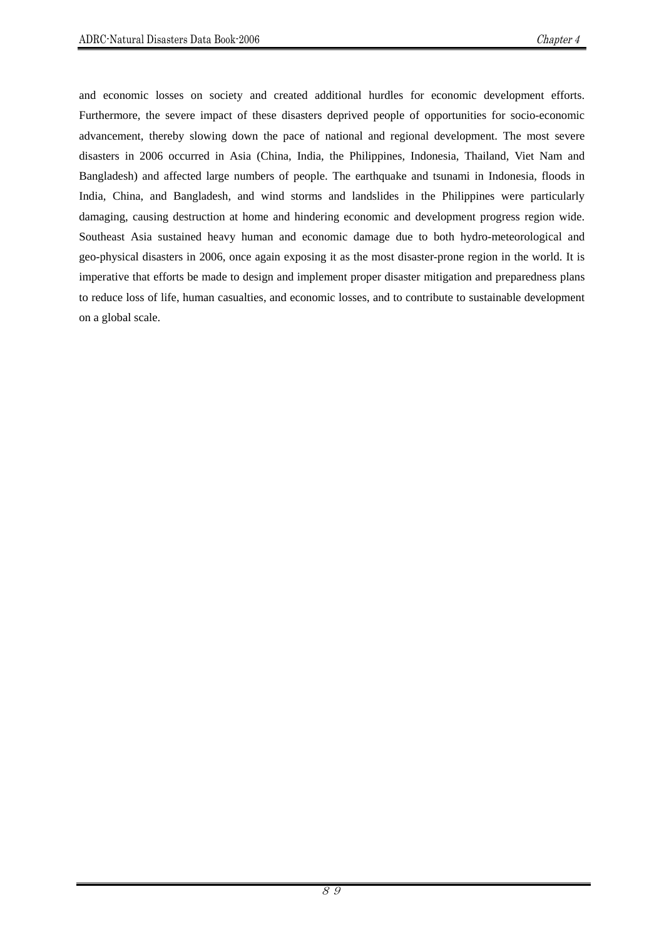and economic losses on society and created additional hurdles for economic development efforts. Furthermore, the severe impact of these disasters deprived people of opportunities for socio-economic advancement, thereby slowing down the pace of national and regional development. The most severe disasters in 2006 occurred in Asia (China, India, the Philippines, Indonesia, Thailand, Viet Nam and Bangladesh) and affected large numbers of people. The earthquake and tsunami in Indonesia, floods in India, China, and Bangladesh, and wind storms and landslides in the Philippines were particularly damaging, causing destruction at home and hindering economic and development progress region wide. Southeast Asia sustained heavy human and economic damage due to both hydro-meteorological and geo-physical disasters in 2006, once again exposing it as the most disaster-prone region in the world. It is imperative that efforts be made to design and implement proper disaster mitigation and preparedness plans to reduce loss of life, human casualties, and economic losses, and to contribute to sustainable development on a global scale.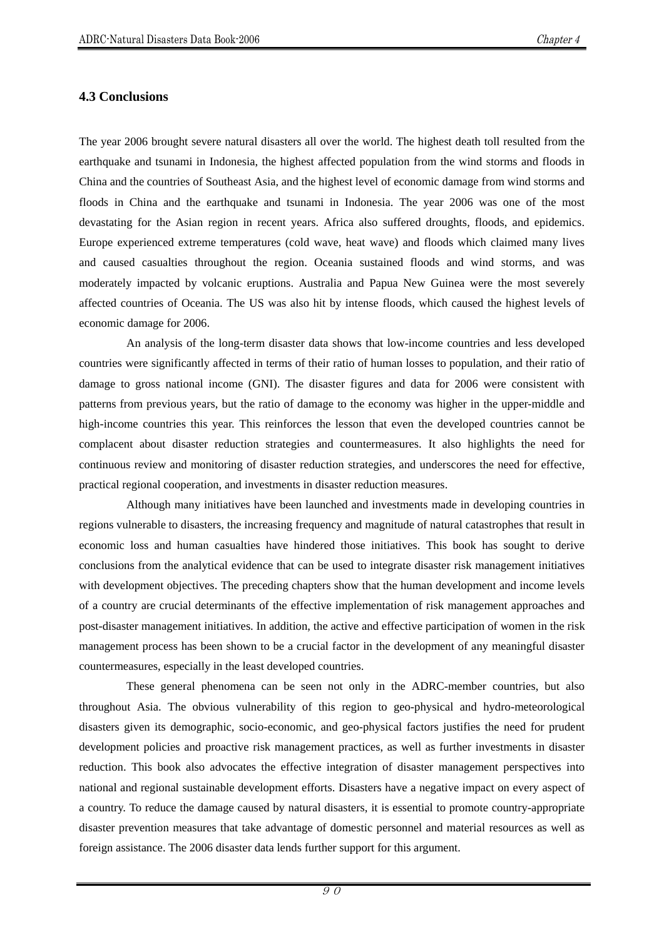#### **4.3 Conclusions**

The year 2006 brought severe natural disasters all over the world. The highest death toll resulted from the earthquake and tsunami in Indonesia, the highest affected population from the wind storms and floods in China and the countries of Southeast Asia, and the highest level of economic damage from wind storms and floods in China and the earthquake and tsunami in Indonesia. The year 2006 was one of the most devastating for the Asian region in recent years. Africa also suffered droughts, floods, and epidemics. Europe experienced extreme temperatures (cold wave, heat wave) and floods which claimed many lives and caused casualties throughout the region. Oceania sustained floods and wind storms, and was moderately impacted by volcanic eruptions. Australia and Papua New Guinea were the most severely affected countries of Oceania. The US was also hit by intense floods, which caused the highest levels of economic damage for 2006.

An analysis of the long-term disaster data shows that low-income countries and less developed countries were significantly affected in terms of their ratio of human losses to population, and their ratio of damage to gross national income (GNI). The disaster figures and data for 2006 were consistent with patterns from previous years, but the ratio of damage to the economy was higher in the upper-middle and high-income countries this year. This reinforces the lesson that even the developed countries cannot be complacent about disaster reduction strategies and countermeasures. It also highlights the need for continuous review and monitoring of disaster reduction strategies, and underscores the need for effective, practical regional cooperation, and investments in disaster reduction measures.

Although many initiatives have been launched and investments made in developing countries in regions vulnerable to disasters, the increasing frequency and magnitude of natural catastrophes that result in economic loss and human casualties have hindered those initiatives. This book has sought to derive conclusions from the analytical evidence that can be used to integrate disaster risk management initiatives with development objectives. The preceding chapters show that the human development and income levels of a country are crucial determinants of the effective implementation of risk management approaches and post-disaster management initiatives. In addition, the active and effective participation of women in the risk management process has been shown to be a crucial factor in the development of any meaningful disaster countermeasures, especially in the least developed countries.

These general phenomena can be seen not only in the ADRC-member countries, but also throughout Asia. The obvious vulnerability of this region to geo-physical and hydro-meteorological disasters given its demographic, socio-economic, and geo-physical factors justifies the need for prudent development policies and proactive risk management practices, as well as further investments in disaster reduction. This book also advocates the effective integration of disaster management perspectives into national and regional sustainable development efforts. Disasters have a negative impact on every aspect of a country. To reduce the damage caused by natural disasters, it is essential to promote country-appropriate disaster prevention measures that take advantage of domestic personnel and material resources as well as foreign assistance. The 2006 disaster data lends further support for this argument.